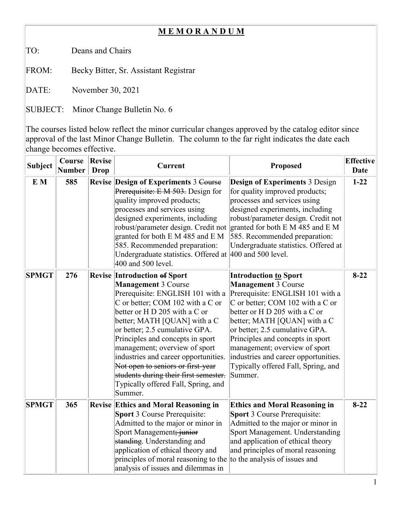## **M E M O R A N D U M**

TO: Deans and Chairs

FROM: Becky Bitter, Sr. Assistant Registrar

DATE: November 30, 2021

SUBJECT: Minor Change Bulletin No. 6

The courses listed below reflect the minor curricular changes approved by the catalog editor since approval of the last Minor Change Bulletin. The column to the far right indicates the date each change becomes effective.

| <b>Subject</b> | Course<br><b>Number</b> | <b>Revise</b><br><b>Drop</b> | <b>Current</b>                                                                                                                                                                                                                                                                                                                                                                                                                                                                            | Proposed                                                                                                                                                                                                                                                                                                                                                                                             | <b>Effective</b><br><b>Date</b> |
|----------------|-------------------------|------------------------------|-------------------------------------------------------------------------------------------------------------------------------------------------------------------------------------------------------------------------------------------------------------------------------------------------------------------------------------------------------------------------------------------------------------------------------------------------------------------------------------------|------------------------------------------------------------------------------------------------------------------------------------------------------------------------------------------------------------------------------------------------------------------------------------------------------------------------------------------------------------------------------------------------------|---------------------------------|
| E M            | 585                     |                              | <b>Revise Design of Experiments 3 Course</b><br>Prerequisite: E M 503. Design for<br>quality improved products;<br>processes and services using<br>designed experiments, including<br>robust/parameter design. Credit not<br>granted for both E M 485 and E M<br>585. Recommended preparation:<br>Undergraduate statistics. Offered at<br>400 and 500 level.                                                                                                                              | <b>Design of Experiments 3 Design</b><br>for quality improved products;<br>processes and services using<br>designed experiments, including<br>robust/parameter design. Credit not<br>granted for both $E M 485$ and $E M$<br>585. Recommended preparation:<br>Undergraduate statistics. Offered at<br>$ 400$ and 500 level.                                                                          | $1 - 22$                        |
| <b>SPMGT</b>   | 276                     |                              | <b>Revise Introduction of Sport</b><br><b>Management 3 Course</b><br>Prerequisite: ENGLISH 101 with a<br>C or better; COM 102 with a C or<br>better or H D 205 with a C or<br>better; MATH [QUAN] with a C<br>or better; 2.5 cumulative GPA.<br>Principles and concepts in sport<br>management; overview of sport<br>industries and career opportunities.<br>Not open to seniors or first-year<br>students during their first semester.<br>Typically offered Fall, Spring, and<br>Summer. | <b>Introduction to Sport</b><br><b>Management 3 Course</b><br>Prerequisite: ENGLISH 101 with a<br>C or better; COM 102 with a C or<br>better or H D 205 with a C or<br>better; MATH [QUAN] with a C<br>or better; 2.5 cumulative GPA.<br>Principles and concepts in sport<br>management; overview of sport<br>industries and career opportunities.<br>Typically offered Fall, Spring, and<br>Summer. | $8-22$                          |
| <b>SPMGT</b>   | 365                     |                              | <b>Revise Ethics and Moral Reasoning in</b><br><b>Sport 3 Course Prerequisite:</b><br>Admitted to the major or minor in<br>Sport Management; junior<br>standing. Understanding and<br>application of ethical theory and<br>principles of moral reasoning to the<br>analysis of issues and dilemmas in                                                                                                                                                                                     | <b>Ethics and Moral Reasoning in</b><br><b>Sport 3 Course Prerequisite:</b><br>Admitted to the major or minor in<br>Sport Management. Understanding<br>and application of ethical theory<br>and principles of moral reasoning<br>to the analysis of issues and                                                                                                                                       | $8 - 22$                        |